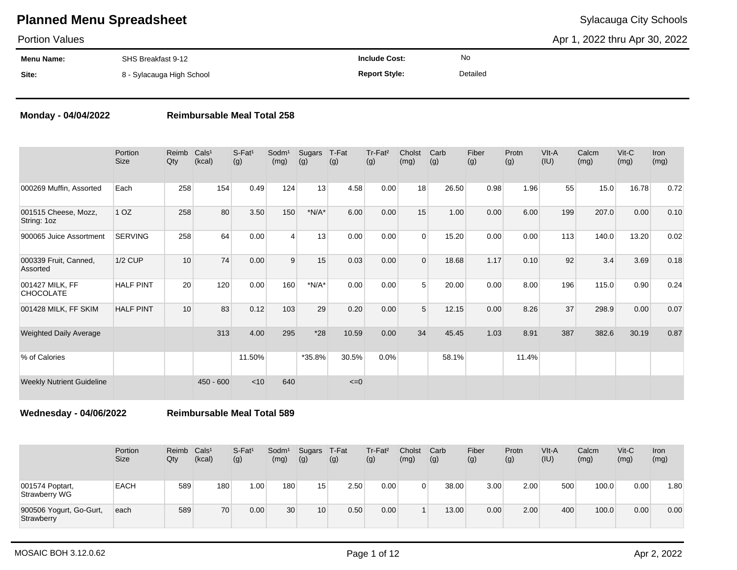Portion Values

Apr 1, 2022 thru Apr 30, 2022

| <b>Menu Name:</b> | SHS Breakfast 9-12        | <b>Include Cost:</b> | No       |
|-------------------|---------------------------|----------------------|----------|
| Site:             | 8 - Sylacauga High School | <b>Report Style:</b> | Detailed |

### **Monday - 04/04/2022 Reimbursable Meal Total 258**

|                                     | Portion<br>Size  | Reimb<br>Qty | Cals <sup>1</sup><br>(kcal) | $S-Fat1$<br>(g) | Sodm <sup>1</sup><br>(mg) | Sugars<br>(g) | T-Fat<br>(g) | Tr-Fat <sup>2</sup><br>(g) | Cholst<br>(mg) | Carb<br>(g) | Fiber<br>(g) | Protn<br>(g) | VIt-A<br>(IU) | Calcm<br>(mg) | $V$ it-C<br>(mg) | Iron<br>(mg) |
|-------------------------------------|------------------|--------------|-----------------------------|-----------------|---------------------------|---------------|--------------|----------------------------|----------------|-------------|--------------|--------------|---------------|---------------|------------------|--------------|
| 000269 Muffin, Assorted             | Each             | 258          | 154                         | 0.49            | 124                       | 13            | 4.58         | 0.00                       | 18             | 26.50       | 0.98         | 1.96         | 55            | 15.0          | 16.78            | 0.72         |
| 001515 Cheese, Mozz,<br>String: 1oz | 1 <sub>OZ</sub>  | 258          | 80                          | 3.50            | 150                       | $*N/A*$       | 6.00         | 0.00                       | 15             | 1.00        | 0.00         | 6.00         | 199           | 207.0         | 0.00             | 0.10         |
| 900065 Juice Assortment             | <b>SERVING</b>   | 258          | 64                          | 0.00            | $\overline{4}$            | 13            | 0.00         | 0.00                       | $\Omega$       | 15.20       | 0.00         | 0.00         | 113           | 140.0         | 13.20            | 0.02         |
| 000339 Fruit, Canned,<br>Assorted   | $1/2$ CUP        | 10           | 74                          | 0.00            | 9                         | 15            | 0.03         | 0.00                       | $\Omega$       | 18.68       | 1.17         | 0.10         | 92            | 3.4           | 3.69             | 0.18         |
| 001427 MILK, FF<br><b>CHOCOLATE</b> | <b>HALF PINT</b> | 20           | 120                         | 0.00            | 160                       | $*N/A*$       | 0.00         | 0.00                       |                | 20.00       | 0.00         | 8.00         | 196           | 115.0         | 0.90             | 0.24         |
| 001428 MILK, FF SKIM                | <b>HALF PINT</b> | 10           | 83                          | 0.12            | 103                       | 29            | 0.20         | 0.00                       | 5              | 12.15       | 0.00         | 8.26         | 37            | 298.9         | 0.00             | 0.07         |
| <b>Weighted Daily Average</b>       |                  |              | 313                         | 4.00            | 295                       | $*28$         | 10.59        | 0.00                       | 34             | 45.45       | 1.03         | 8.91         | 387           | 382.6         | 30.19            | 0.87         |
| % of Calories                       |                  |              |                             | 11.50%          |                           | *35.8%        | 30.5%        | 0.0%                       |                | 58.1%       |              | 11.4%        |               |               |                  |              |
| <b>Weekly Nutrient Guideline</b>    |                  |              | $450 - 600$                 | < 10            | 640                       |               | $\leq=0$     |                            |                |             |              |              |               |               |                  |              |

**Wednesday - 04/06/2022 Reimbursable Meal Total 589**

|                                       | Portion<br>Size | Reimb<br>Qty | Cals <sup>1</sup><br>(kcal) | S-Fat <sup>1</sup><br>(g) | Sodm <sup>1</sup><br>(mg) | Sugars<br>(g)   | T-Fat<br>(g) | $Tr-Fat2$<br>(g) | Cholst<br>(mg) | Carb<br>(g) | Fiber<br>(g) | Protn<br>(g) | VIt-A<br>(IU) | Calcm<br>(mg) | Vit-C<br>(mg) | Iron<br>(mg) |
|---------------------------------------|-----------------|--------------|-----------------------------|---------------------------|---------------------------|-----------------|--------------|------------------|----------------|-------------|--------------|--------------|---------------|---------------|---------------|--------------|
| 001574 Poptart,<br>Strawberry WG      | <b>EACH</b>     | 589          | 180                         | 1.00                      | 180 <sub>1</sub>          | 15              | 2.50         | 0.00             |                | 38.00       | 3.00         | 2.00         | 500           | 100.0         | 0.00          | 1.80         |
| 900506 Yogurt, Go-Gurt,<br>Strawberry | each            | 589          | 70                          | 0.00                      | 30                        | 10 <sup>1</sup> | 0.50         | 0.00             |                | 13.00       | 0.00         | 2.00         | 400           | 100.0         | 0.00          | 0.00         |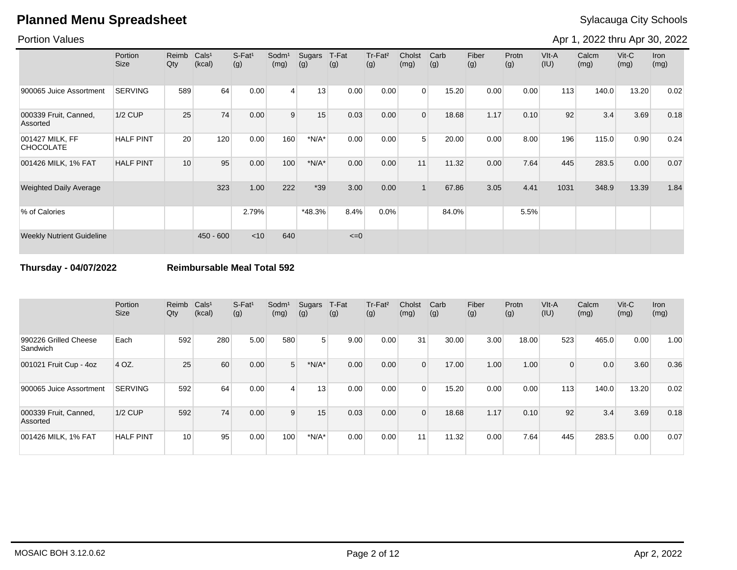## Portion Values

Apr 1, 2022 thru Apr 30, 2022

|                                     | Portion<br><b>Size</b> | Reimb<br>Qty | Cals <sup>1</sup><br>(kcal) | S-Fat <sup>1</sup><br>(g) | Sodm <sup>1</sup><br>(mg) | Sugars<br>(g) | T-Fat<br>(g) | Tr-Fat <sup>2</sup><br>(g) | Cholst<br>(mg) | Carb<br>(g) | Fiber<br>(g) | Protn<br>(g) | VIt-A<br>(IU) | Calcm<br>(mg) | $V$ it-C<br>(mg) | <b>Iron</b><br>(mg) |
|-------------------------------------|------------------------|--------------|-----------------------------|---------------------------|---------------------------|---------------|--------------|----------------------------|----------------|-------------|--------------|--------------|---------------|---------------|------------------|---------------------|
| 900065 Juice Assortment             | <b>SERVING</b>         | 589          | 64                          | 0.00                      | $\overline{4}$            | 13            | 0.00         | 0.00                       | $\overline{0}$ | 15.20       | 0.00         | 0.00         | 113           | 140.0         | 13.20            | 0.02                |
| 000339 Fruit, Canned,<br>Assorted   | <b>1/2 CUP</b>         | 25           | 74                          | 0.00                      | 9                         | 15            | 0.03         | 0.00                       | $\Omega$       | 18.68       | 1.17         | 0.10         | 92            | 3.4           | 3.69             | 0.18                |
| 001427 MILK, FF<br><b>CHOCOLATE</b> | <b>HALF PINT</b>       | 20           | 120                         | 0.00                      | 160                       | $*N/A*$       | 0.00         | 0.00                       | 5              | 20.00       | 0.00         | 8.00         | 196           | 115.0         | 0.90             | 0.24                |
| 001426 MILK, 1% FAT                 | <b>HALF PINT</b>       | 10           | 95                          | 0.00                      | 100                       | $*N/A*$       | 0.00         | 0.00                       | 11             | 11.32       | 0.00         | 7.64         | 445           | 283.5         | 0.00             | 0.07                |
| <b>Weighted Daily Average</b>       |                        |              | 323                         | 1.00                      | 222                       | $*39$         | 3.00         | 0.00                       |                | 67.86       | 3.05         | 4.41         | 1031          | 348.9         | 13.39            | 1.84                |
| % of Calories                       |                        |              |                             | 2.79%                     |                           | $*48.3%$      | 8.4%         | $0.0\%$                    |                | 84.0%       |              | 5.5%         |               |               |                  |                     |
| <b>Weekly Nutrient Guideline</b>    |                        |              | $450 - 600$                 | < 10                      | 640                       |               | $\leq=0$     |                            |                |             |              |              |               |               |                  |                     |

## **Thursday - 04/07/2022 Reimbursable Meal Total 592**

|                                   | Portion<br><b>Size</b> | Reimb<br>Qty | Cals <sup>1</sup><br>(kcal) | $S-Fat1$<br>(g) | Sodm <sup>1</sup><br>(mg) | Sugars<br>(g)   | T-Fat<br>(g) | Tr-Fat <sup>2</sup><br>(g) | Cholst<br>(mg) | Carb<br>(g) | Fiber<br>(g) | Protn<br>(g) | VIt-A<br>(IU) | Calcm<br>(mg) | $V$ it-C<br>(mg) | <b>Iron</b><br>(mg) |
|-----------------------------------|------------------------|--------------|-----------------------------|-----------------|---------------------------|-----------------|--------------|----------------------------|----------------|-------------|--------------|--------------|---------------|---------------|------------------|---------------------|
| 990226 Grilled Cheese<br>Sandwich | Each                   | 592          | 280                         | 5.00            | 580                       | 5 <sup>1</sup>  | 9.00         | 0.00                       | 31             | 30.00       | 3.00         | 18.00        | 523           | 465.0         | 0.00             | 1.00                |
| 001021 Fruit Cup - 4oz            | 4 OZ.                  | 25           | 60                          | 0.00            | 5 <sup>1</sup>            | $*N/A*$         | 0.00         | 0.00                       | $\overline{0}$ | 17.00       | 1.00         | 1.00         | 0             | 0.0           | 3.60             | 0.36                |
| 900065 Juice Assortment           | <b>SERVING</b>         | 592          | 64                          | 0.00            | $\overline{4}$            | 13 <sup>1</sup> | 0.00         | 0.00                       | $\Omega$       | 15.20       | 0.00         | 0.00         | 113           | 140.0         | 13.20            | 0.02                |
| 000339 Fruit, Canned,<br>Assorted | $1/2$ CUP              | 592          | 74                          | 0.00            | 9                         | 15              | 0.03         | 0.00                       | $\overline{0}$ | 18.68       | 1.17         | 0.10         | 92            | 3.4           | 3.69             | 0.18                |
| 001426 MILK, 1% FAT               | <b>HALF PINT</b>       | 10           | 95                          | 0.00            | 100                       | $*N/A*$         | 0.00         | 0.00                       | 11             | 11.32       | 0.00         | 7.64         | 445           | 283.5         | 0.00             | 0.07                |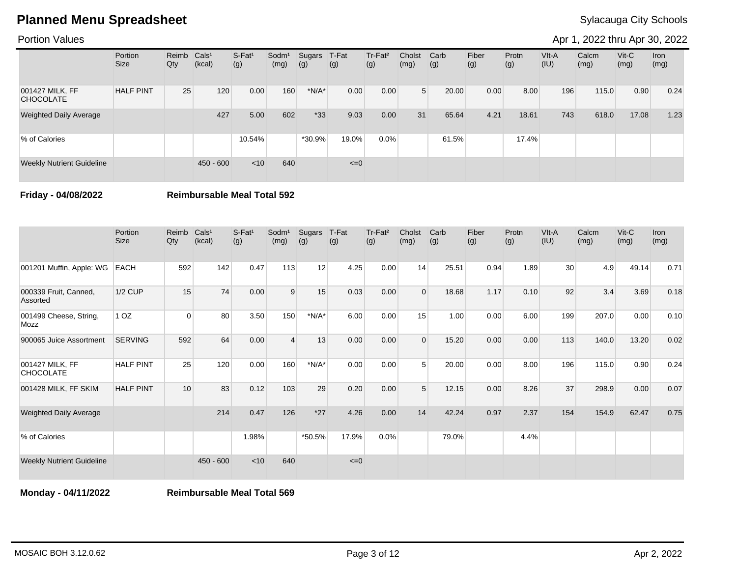### Portion Values

Apr 1, 2022 thru Apr 30, 2022

|                                     | Portion<br><b>Size</b> | Reimb Cals <sup>1</sup><br>Qty | (kcal)      | $S-Fat1$<br>(g) | Sodm <sup>1</sup><br>(mg) | Sugars<br>(g) | T-Fat<br>(g) | Tr-Fat <sup>2</sup><br>(g) | Cholst<br>(mg) | Carb<br>(g) | Fiber<br>(g) | Protn<br>(g) | VIt-A<br>(IU) | Calcm<br>(mg) | $V$ it-C<br>(mg) | <b>Iron</b><br>(mg) |
|-------------------------------------|------------------------|--------------------------------|-------------|-----------------|---------------------------|---------------|--------------|----------------------------|----------------|-------------|--------------|--------------|---------------|---------------|------------------|---------------------|
| 001427 MILK, FF<br><b>CHOCOLATE</b> | <b>HALF PINT</b>       | 25                             | 120         | 0.00            | 160                       | $*N/A*$       | 0.00         | 0.00                       | 5 <sup>1</sup> | 20.00       | 0.00         | 8.00         | 196           | 115.0         | 0.90             | 0.24                |
| <b>Weighted Daily Average</b>       |                        |                                | 427         | 5.00            | 602                       | $*33$         | 9.03         | 0.00                       | 31             | 65.64       | 4.21         | 18.61        | 743           | 618.0         | 17.08            | 1.23                |
| % of Calories                       |                        |                                |             | 10.54%          |                           | *30.9%        | 19.0%        | $0.0\%$                    |                | 61.5%       |              | 17.4%        |               |               |                  |                     |
| <b>Weekly Nutrient Guideline</b>    |                        |                                | $450 - 600$ | < 10            | 640                       |               | $\leq=0$     |                            |                |             |              |              |               |               |                  |                     |

**Friday - 04/08/2022 Reimbursable Meal Total 592**

|                                     | Portion<br><b>Size</b> | Reimb<br>Qty | Cals <sup>1</sup><br>(kcal) | S-Fat <sup>1</sup><br>(g) | Sodm <sup>1</sup><br>(mg) | Sugars<br>(g) | T-Fat<br>(g) | Tr-Fat <sup>2</sup><br>(g) | Cholst<br>(mg) | Carb<br>(g) | Fiber<br>(g) | Protn<br>(g) | VIt-A<br>(IU) | Calcm<br>(mg) | $V$ it-C<br>(mg) | Iron<br>(mg) |
|-------------------------------------|------------------------|--------------|-----------------------------|---------------------------|---------------------------|---------------|--------------|----------------------------|----------------|-------------|--------------|--------------|---------------|---------------|------------------|--------------|
| 001201 Muffin, Apple: WG            | <b>EACH</b>            | 592          | 142                         | 0.47                      | 113                       | 12            | 4.25         | 0.00                       | 14             | 25.51       | 0.94         | 1.89         | 30            | 4.9           | 49.14            | 0.71         |
| 000339 Fruit, Canned,<br>Assorted   | <b>1/2 CUP</b>         | 15           | 74                          | 0.00                      | 9                         | 15            | 0.03         | 0.00                       | $\Omega$       | 18.68       | 1.17         | 0.10         | 92            | 3.4           | 3.69             | 0.18         |
| 001499 Cheese, String,<br>Mozz      | 1 <sub>OZ</sub>        | $\Omega$     | 80                          | 3.50                      | 150                       | $*N/A*$       | 6.00         | 0.00                       | 15             | 1.00        | 0.00         | 6.00         | 199           | 207.0         | 0.00             | 0.10         |
| 900065 Juice Assortment             | <b>SERVING</b>         | 592          | 64                          | 0.00                      | $\overline{4}$            | 13            | 0.00         | 0.00                       | $\Omega$       | 15.20       | 0.00         | 0.00         | 113           | 140.0         | 13.20            | 0.02         |
| 001427 MILK, FF<br><b>CHOCOLATE</b> | <b>HALF PINT</b>       | 25           | 120                         | 0.00                      | 160                       | $*N/A*$       | 0.00         | 0.00                       | 5              | 20.00       | 0.00         | 8.00         | 196           | 115.0         | 0.90             | 0.24         |
| 001428 MILK, FF SKIM                | <b>HALF PINT</b>       | 10           | 83                          | 0.12                      | 103                       | 29            | 0.20         | 0.00                       | 5              | 12.15       | 0.00         | 8.26         | 37            | 298.9         | 0.00             | 0.07         |
| <b>Weighted Daily Average</b>       |                        |              | 214                         | 0.47                      | 126                       | $*27$         | 4.26         | 0.00                       | 14             | 42.24       | 0.97         | 2.37         | 154           | 154.9         | 62.47            | 0.75         |
| % of Calories                       |                        |              |                             | 1.98%                     |                           | *50.5%        | 17.9%        | 0.0%                       |                | 79.0%       |              | 4.4%         |               |               |                  |              |
| <b>Weekly Nutrient Guideline</b>    |                        |              | $450 - 600$                 | $<$ 10                    | 640                       |               | $\leq=0$     |                            |                |             |              |              |               |               |                  |              |

**Monday - 04/11/2022 Reimbursable Meal Total 569**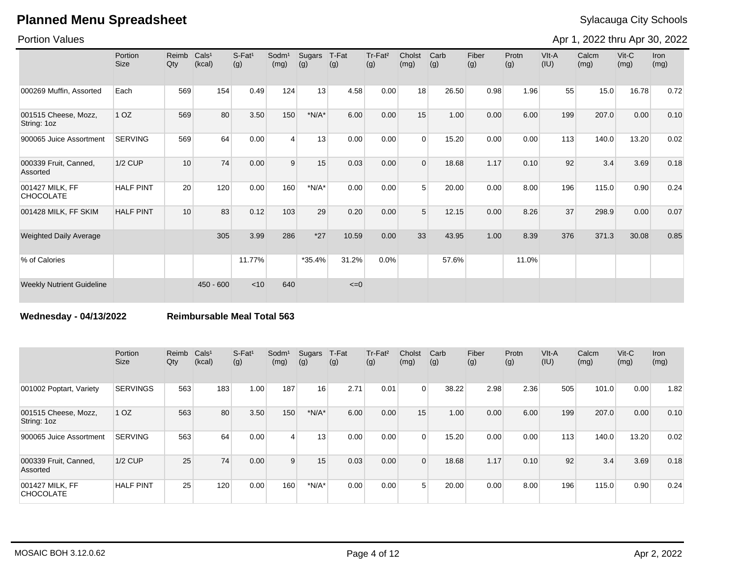## Portion Values

Apr 1, 2022 thru Apr 30, 2022

|                                     | Portion<br><b>Size</b> | Reimb<br>Qty | Cals <sup>1</sup><br>(kcal) | S-Fat <sup>1</sup><br>(g) | Sodm <sup>1</sup><br>(mg) | Sugars<br>(g) | T-Fat<br>(g) | Tr-Fat <sup>2</sup><br>(g) | Cholst<br>(mg) | Carb<br>(g) | Fiber<br>(g) | Protn<br>(g) | VIt-A<br>(IU) | Calcm<br>(mg) | $V$ it-C<br>(mg) | <b>Iron</b><br>(mg) |
|-------------------------------------|------------------------|--------------|-----------------------------|---------------------------|---------------------------|---------------|--------------|----------------------------|----------------|-------------|--------------|--------------|---------------|---------------|------------------|---------------------|
| 000269 Muffin, Assorted             | Each                   | 569          | 154                         | 0.49                      | 124                       | 13            | 4.58         | 0.00                       | 18             | 26.50       | 0.98         | 1.96         | 55            | 15.0          | 16.78            | 0.72                |
| 001515 Cheese, Mozz,<br>String: 1oz | 1 <sub>OZ</sub>        | 569          | 80                          | 3.50                      | 150                       | $*N/A*$       | 6.00         | 0.00                       | 15             | 1.00        | 0.00         | 6.00         | 199           | 207.0         | 0.00             | 0.10                |
| 900065 Juice Assortment             | <b>SERVING</b>         | 569          | 64                          | 0.00                      | $\overline{4}$            | 13            | 0.00         | 0.00                       | $\cap$         | 15.20       | 0.00         | 0.00         | 113           | 140.0         | 13.20            | 0.02                |
| 000339 Fruit, Canned,<br>Assorted   | <b>1/2 CUP</b>         | 10           | 74                          | 0.00                      | 9                         | 15            | 0.03         | 0.00                       | $\Omega$       | 18.68       | 1.17         | 0.10         | 92            | 3.4           | 3.69             | 0.18                |
| 001427 MILK, FF<br><b>CHOCOLATE</b> | <b>HALF PINT</b>       | 20           | 120                         | 0.00                      | 160                       | $*N/A*$       | 0.00         | 0.00                       | 5              | 20.00       | 0.00         | 8.00         | 196           | 115.0         | 0.90             | 0.24                |
| 001428 MILK, FF SKIM                | <b>HALF PINT</b>       | 10           | 83                          | 0.12                      | 103                       | 29            | 0.20         | 0.00                       | $5^{\circ}$    | 12.15       | 0.00         | 8.26         | 37            | 298.9         | 0.00             | 0.07                |
| <b>Weighted Daily Average</b>       |                        |              | 305                         | 3.99                      | 286                       | $*27$         | 10.59        | 0.00                       | 33             | 43.95       | 1.00         | 8.39         | 376           | 371.3         | 30.08            | 0.85                |
| % of Calories                       |                        |              |                             | 11.77%                    |                           | $*35.4%$      | 31.2%        | 0.0%                       |                | 57.6%       |              | 11.0%        |               |               |                  |                     |
| <b>Weekly Nutrient Guideline</b>    |                        |              | $450 - 600$                 | < 10                      | 640                       |               | $\leq=0$     |                            |                |             |              |              |               |               |                  |                     |

**Wednesday - 04/13/2022 Reimbursable Meal Total 563**

|                                     | Portion<br><b>Size</b> | Reimb<br>Qty | Cals <sup>1</sup><br>(kcal) | $S$ -Fat <sup>1</sup><br>(g) | Sodm <sup>1</sup><br>(mg) | Sugars<br>(g)   | T-Fat<br>(g) | Tr-Fat <sup>2</sup><br>(g) | Cholst<br>(mg) | Carb<br>(g) | Fiber<br>(g) | Protn<br>(g) | VIt-A<br>(IU) | Calcm<br>(mg) | $V$ it-C<br>(mg) | <b>Iron</b><br>(mg) |
|-------------------------------------|------------------------|--------------|-----------------------------|------------------------------|---------------------------|-----------------|--------------|----------------------------|----------------|-------------|--------------|--------------|---------------|---------------|------------------|---------------------|
| 001002 Poptart, Variety             | <b>SERVINGS</b>        | 563          | 183                         | 1.00                         | 187                       | 16              | 2.71         | 0.01                       | $\Omega$       | 38.22       | 2.98         | 2.36         | 505           | 101.0         | 0.00             | 1.82                |
| 001515 Cheese, Mozz,<br>String: 1oz | 1 <sub>OZ</sub>        | 563          | 80                          | 3.50                         | 150                       | $*N/A*$         | 6.00         | 0.00                       | 15             | 1.00        | 0.00         | 6.00         | 199           | 207.0         | 0.00             | 0.10                |
| 900065 Juice Assortment             | <b>SERVING</b>         | 563          | 64                          | 0.00                         | $\overline{4}$            | 13 <sub>1</sub> | 0.00         | 0.00                       | $\Omega$       | 15.20       | 0.00         | 0.00         | 113           | 140.0         | 13.20            | 0.02                |
| 000339 Fruit, Canned,<br>Assorted   | $1/2$ CUP              | 25           | 74                          | 0.00                         | 9                         | 15              | 0.03         | 0.00                       | $\Omega$       | 18.68       | 1.17         | 0.10         | 92            | 3.4           | 3.69             | 0.18                |
| 001427 MILK, FF<br><b>CHOCOLATE</b> | <b>HALF PINT</b>       | 25           | 120                         | 0.00                         | 160                       | $*N/A*$         | 0.00         | 0.00                       | 5 <sup>1</sup> | 20.00       | 0.00         | 8.00         | 196           | 115.0         | 0.90             | 0.24                |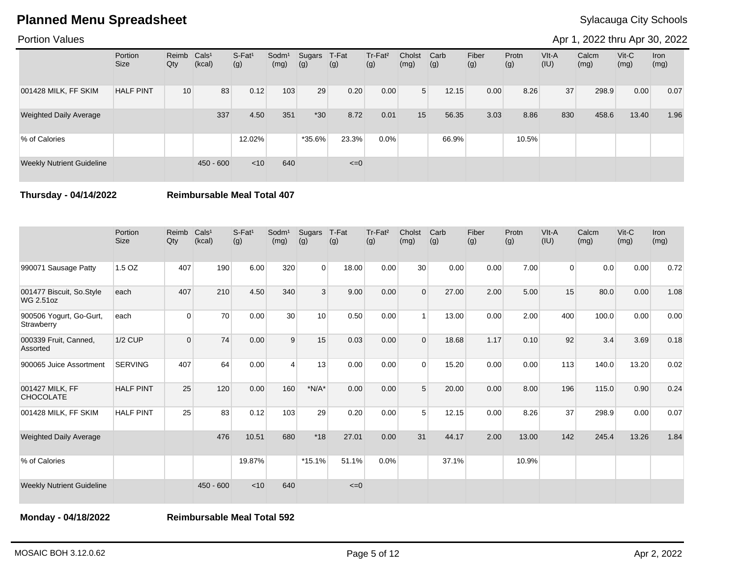### Portion Values

Apr 1, 2022 thru Apr 30, 2022

|                                  | Portion<br><b>Size</b> | Reimb Cals <sup>1</sup><br>Qty | (kcal)      | $S-Fat1$<br>(g) | Sodm <sup>1</sup><br>(mg) | Sugars<br>(g) | T-Fat<br>(g) | Tr-Fat <sup>2</sup><br>(g) | Cholst<br>(mg) | Carb<br>(g) | Fiber<br>(g) | Protn<br>(g) | VIt-A<br>(IU) | Calcm<br>(mg) | $V$ it-C<br>(mg) | Iron<br>(mg) |
|----------------------------------|------------------------|--------------------------------|-------------|-----------------|---------------------------|---------------|--------------|----------------------------|----------------|-------------|--------------|--------------|---------------|---------------|------------------|--------------|
| 001428 MILK, FF SKIM             | <b>HALF PINT</b>       | 10                             | 83          | 0.12            | 103                       | 29            | 0.20         | 0.00                       | 5 <sup>1</sup> | 12.15       | 0.00         | 8.26         | 37            | 298.9         | 0.00             | 0.07         |
| <b>Weighted Daily Average</b>    |                        |                                | 337         | 4.50            | 351                       | $*30$         | 8.72         | 0.01                       | 15             | 56.35       | 3.03         | 8.86         | 830           | 458.6         | 13.40            | 1.96         |
| % of Calories                    |                        |                                |             | 12.02%          |                           | $*35.6\%$     | 23.3%        | 0.0%                       |                | 66.9%       |              | 10.5%        |               |               |                  |              |
| <b>Weekly Nutrient Guideline</b> |                        |                                | $450 - 600$ | $<$ 10          | 640                       |               | $\leq=0$     |                            |                |             |              |              |               |               |                  |              |

**Thursday - 04/14/2022 Reimbursable Meal Total 407**

|                                              | Portion<br><b>Size</b> | Reimb<br>Qty   | Cals <sup>1</sup><br>(kcal) | $S-Fat1$<br>(g) | Sodm <sup>1</sup><br>(mg) | Sugars<br>(g)               | T-Fat<br>(g) | Tr-Fat <sup>2</sup><br>(g) | Cholst<br>(mg) | Carb<br>(g) | Fiber<br>(g) | Protn<br>(g) | VIt-A<br>(IU)  | Calcm<br>(mg) | $Vit-C$<br>(mg) | <b>Iron</b><br>(mg) |
|----------------------------------------------|------------------------|----------------|-----------------------------|-----------------|---------------------------|-----------------------------|--------------|----------------------------|----------------|-------------|--------------|--------------|----------------|---------------|-----------------|---------------------|
| 990071 Sausage Patty                         | 1.5 OZ                 | 407            | 190                         | 6.00            | 320                       | $\overline{0}$              | 18.00        | 0.00                       | 30             | 0.00        | 0.00         | 7.00         | $\overline{0}$ | 0.0           | 0.00            | 0.72                |
| 001477 Biscuit, So.Style<br><b>WG 2.51oz</b> | each                   | 407            | 210                         | 4.50            | 340                       | 3                           | 9.00         | 0.00                       | $\Omega$       | 27.00       | 2.00         | 5.00         | 15             | 80.0          | 0.00            | 1.08                |
| 900506 Yogurt, Go-Gurt,<br>Strawberry        | each                   | $\overline{0}$ | 70                          | 0.00            | 30                        | 10                          | 0.50         | 0.00                       | 1              | 13.00       | 0.00         | 2.00         | 400            | 100.0         | 0.00            | 0.00                |
| 000339 Fruit, Canned,<br>Assorted            | <b>1/2 CUP</b>         | $\Omega$       | 74                          | 0.00            | 9                         | 15                          | 0.03         | 0.00                       | $\Omega$       | 18.68       | 1.17         | 0.10         | 92             | 3.4           | 3.69            | 0.18                |
| 900065 Juice Assortment                      | <b>SERVING</b>         | 407            | 64                          | 0.00            | 4                         | 13                          | 0.00         | 0.00                       | $\Omega$       | 15.20       | 0.00         | 0.00         | 113            | 140.0         | 13.20           | 0.02                |
| 001427 MILK, FF<br><b>CHOCOLATE</b>          | <b>HALF PINT</b>       | 25             | 120                         | 0.00            | 160                       | $^{\star}{\sf N/A}^{\star}$ | 0.00         | 0.00                       | 5              | 20.00       | 0.00         | 8.00         | 196            | 115.0         | 0.90            | 0.24                |
| 001428 MILK, FF SKIM                         | <b>HALF PINT</b>       | 25             | 83                          | 0.12            | 103                       | 29                          | 0.20         | 0.00                       | 5 <sup>1</sup> | 12.15       | 0.00         | 8.26         | 37             | 298.9         | 0.00            | 0.07                |
| <b>Weighted Daily Average</b>                |                        |                | 476                         | 10.51           | 680                       | $*18$                       | 27.01        | 0.00                       | 31             | 44.17       | 2.00         | 13.00        | 142            | 245.4         | 13.26           | 1.84                |
| % of Calories                                |                        |                |                             | 19.87%          |                           | $*15.1%$                    | 51.1%        | 0.0%                       |                | 37.1%       |              | 10.9%        |                |               |                 |                     |
| <b>Weekly Nutrient Guideline</b>             |                        |                | $450 - 600$                 | < 10            | 640                       |                             | $\leq=0$     |                            |                |             |              |              |                |               |                 |                     |

**Monday - 04/18/2022 Reimbursable Meal Total 592**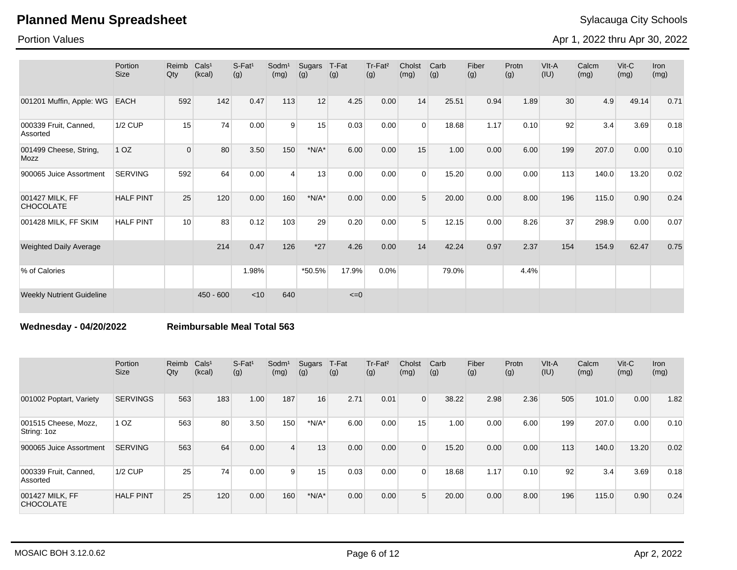Portion Values

Apr 1, 2022 thru Apr 30, 2022

|                                     | Portion<br><b>Size</b> | Reimb<br>Qty | Cals <sup>1</sup><br>(kcal) | S-Fat <sup>1</sup><br>(g) | Sodm <sup>1</sup><br>(mg) | Sugars<br>(g) | T-Fat<br>(g) | Tr-Fat <sup>2</sup><br>(g) | Cholst<br>(mg) | Carb<br>(g) | Fiber<br>(g) | Protn<br>(g) | VIt-A<br>(IU) | Calcm<br>(mg) | Vit-C<br>(mg) | Iron<br>(mg) |
|-------------------------------------|------------------------|--------------|-----------------------------|---------------------------|---------------------------|---------------|--------------|----------------------------|----------------|-------------|--------------|--------------|---------------|---------------|---------------|--------------|
| 001201 Muffin, Apple: WG            | <b>EACH</b>            | 592          | 142                         | 0.47                      | 113                       | 12            | 4.25         | 0.00                       | 14             | 25.51       | 0.94         | 1.89         | 30            | 4.9           | 49.14         | 0.71         |
| 000339 Fruit, Canned,<br>Assorted   | $1/2$ CUP              | 15           | 74                          | 0.00                      | 9                         | 15            | 0.03         | 0.00                       | $\Omega$       | 18.68       | 1.17         | 0.10         | 92            | 3.4           | 3.69          | 0.18         |
| 001499 Cheese, String,<br>Mozz      | 1 <sub>OZ</sub>        | $\Omega$     | 80                          | 3.50                      | 150                       | $*N/A*$       | 6.00         | 0.00                       | 15             | 1.00        | 0.00         | 6.00         | 199           | 207.0         | 0.00          | 0.10         |
| 900065 Juice Assortment             | <b>SERVING</b>         | 592          | 64                          | 0.00                      | 4                         | 13            | 0.00         | 0.00                       | $\Omega$       | 15.20       | 0.00         | 0.00         | 113           | 140.0         | 13.20         | 0.02         |
| 001427 MILK, FF<br><b>CHOCOLATE</b> | <b>HALF PINT</b>       | 25           | 120                         | 0.00                      | 160                       | $*N/A*$       | 0.00         | 0.00                       | 5              | 20.00       | 0.00         | 8.00         | 196           | 115.0         | 0.90          | 0.24         |
| 001428 MILK, FF SKIM                | <b>HALF PINT</b>       | 10           | 83                          | 0.12                      | 103                       | 29            | 0.20         | 0.00                       | 5              | 12.15       | 0.00         | 8.26         | 37            | 298.9         | 0.00          | 0.07         |
| <b>Weighted Daily Average</b>       |                        |              | 214                         | 0.47                      | 126                       | $*27$         | 4.26         | 0.00                       | 14             | 42.24       | 0.97         | 2.37         | 154           | 154.9         | 62.47         | 0.75         |
| % of Calories                       |                        |              |                             | 1.98%                     |                           | *50.5%        | 17.9%        | 0.0%                       |                | 79.0%       |              | 4.4%         |               |               |               |              |
| <b>Weekly Nutrient Guideline</b>    |                        |              | $450 - 600$                 | < 10                      | 640                       |               | $\leq=0$     |                            |                |             |              |              |               |               |               |              |

**Wednesday - 04/20/2022 Reimbursable Meal Total 563**

|                                     | Portion<br><b>Size</b> | Reimb<br>Qty | Cals <sup>1</sup><br>(kcal) | $S$ -Fat <sup>1</sup><br>(g) | Sodm <sup>1</sup><br>(mg) | Sugars<br>(g) | T-Fat<br>(g) | Tr-Fat <sup>2</sup><br>(g) | Cholst<br>(mg) | Carb<br>(g) | Fiber<br>(g) | Protn<br>(g) | VIt-A<br>(IU) | Calcm<br>(mg) | $V$ it-C<br>(mg) | <b>Iron</b><br>(mg) |
|-------------------------------------|------------------------|--------------|-----------------------------|------------------------------|---------------------------|---------------|--------------|----------------------------|----------------|-------------|--------------|--------------|---------------|---------------|------------------|---------------------|
| 001002 Poptart, Variety             | <b>SERVINGS</b>        | 563          | 183                         | 1.00                         | 187                       | 16            | 2.71         | 0.01                       | $\overline{0}$ | 38.22       | 2.98         | 2.36         | 505           | 101.0         | 0.00             | 1.82                |
| 001515 Cheese, Mozz,<br>String: 1oz | 1 <sub>OZ</sub>        | 563          | 80                          | 3.50                         | 150                       | $*N/A*$       | 6.00         | 0.00                       | 15             | 1.00        | 0.00         | 6.00         | 199           | 207.0         | 0.00             | 0.10                |
| 900065 Juice Assortment             | <b>SERVING</b>         | 563          | 64                          | 0.00                         | $\overline{4}$            | 13            | 0.00         | 0.00                       | $\Omega$       | 15.20       | 0.00         | 0.00         | 113           | 140.0         | 13.20            | 0.02                |
| 000339 Fruit, Canned,<br>Assorted   | $1/2$ CUP              | 25           | 74                          | 0.00                         | 9 <sub>1</sub>            | 15            | 0.03         | 0.00                       | $\Omega$       | 18.68       | 1.17         | 0.10         | 92            | 3.4           | 3.69             | 0.18                |
| 001427 MILK, FF<br><b>CHOCOLATE</b> | <b>HALF PINT</b>       | 25           | 120                         | 0.00                         | 160                       | $*N/A*$       | 0.00         | 0.00                       | 5              | 20.00       | 0.00         | 8.00         | 196           | 115.0         | 0.90             | 0.24                |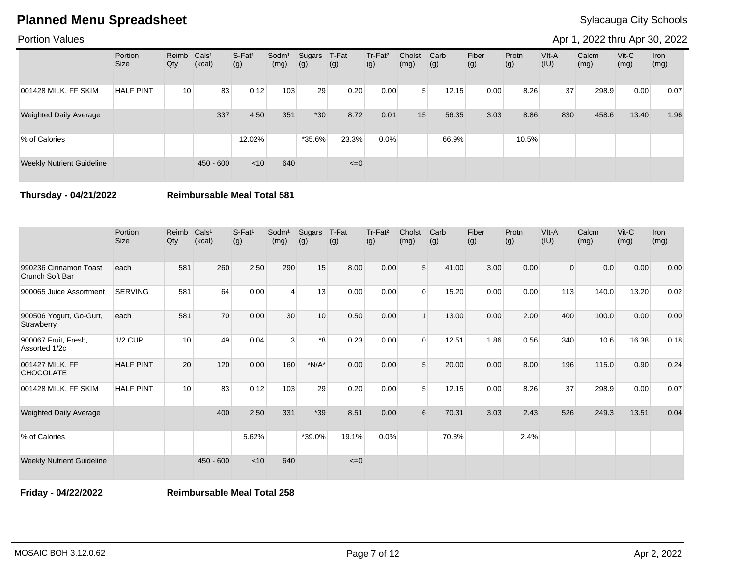### Portion Values

Apr 1, 2022 thru Apr 30, 2022

|                                  | Portion<br><b>Size</b> | Reimb Cals <sup>1</sup><br>Qty | (kcal)      | $S-Fat1$<br>(g) | Sodm <sup>1</sup><br>(mg) | Sugars<br>(g) | T-Fat<br>(g) | Tr-Fat <sup>2</sup><br>(g) | Cholst<br>(mg) | Carb<br>(g) | Fiber<br>(g) | Protn<br>(g) | VIt-A<br>(IU) | Calcm<br>(mg) | $V$ it-C<br>(mg) | Iron<br>(mg) |
|----------------------------------|------------------------|--------------------------------|-------------|-----------------|---------------------------|---------------|--------------|----------------------------|----------------|-------------|--------------|--------------|---------------|---------------|------------------|--------------|
| 001428 MILK, FF SKIM             | <b>HALF PINT</b>       | 10                             | 83          | 0.12            | 103                       | 29            | 0.20         | 0.00                       | 5 <sup>1</sup> | 12.15       | 0.00         | 8.26         | 37            | 298.9         | 0.00             | 0.07         |
| <b>Weighted Daily Average</b>    |                        |                                | 337         | 4.50            | 351                       | $*30$         | 8.72         | 0.01                       | 15             | 56.35       | 3.03         | 8.86         | 830           | 458.6         | 13.40            | 1.96         |
| % of Calories                    |                        |                                |             | 12.02%          |                           | $*35.6\%$     | 23.3%        | 0.0%                       |                | 66.9%       |              | 10.5%        |               |               |                  |              |
| <b>Weekly Nutrient Guideline</b> |                        |                                | $450 - 600$ | $<$ 10          | 640                       |               | $\leq=0$     |                            |                |             |              |              |               |               |                  |              |

**Thursday - 04/21/2022 Reimbursable Meal Total 581**

|                                          | Portion<br>Size  | Reimb<br>Qty | Cals <sup>1</sup><br>(kcal) | $S-Fat1$<br>(g) | Sodm <sup>1</sup><br>(mg) | Sugars<br>(g) | T-Fat<br>(g) | Tr-Fat <sup>2</sup><br>(g) | Cholst<br>(mg) | Carb<br>(g) | Fiber<br>(g) | Protn<br>(g) | VIt-A<br>(IU)  | Calcm<br>(mg) | $V$ it- $C$<br>(mg) | <b>Iron</b><br>(mg) |
|------------------------------------------|------------------|--------------|-----------------------------|-----------------|---------------------------|---------------|--------------|----------------------------|----------------|-------------|--------------|--------------|----------------|---------------|---------------------|---------------------|
| 990236 Cinnamon Toast<br>Crunch Soft Bar | each             | 581          | 260                         | 2.50            | 290                       | 15            | 8.00         | 0.00                       | 5              | 41.00       | 3.00         | 0.00         | $\overline{0}$ | 0.0           | 0.00                | 0.00                |
| 900065 Juice Assortment                  | <b>SERVING</b>   | 581          | 64                          | 0.00            | 4                         | 13            | 0.00         | 0.00                       | $\Omega$       | 15.20       | 0.00         | 0.00         | 113            | 140.0         | 13.20               | 0.02                |
| 900506 Yogurt, Go-Gurt,<br>Strawberry    | each             | 581          | 70                          | 0.00            | 30                        | 10            | 0.50         | 0.00                       | $\mathbf{1}$   | 13.00       | 0.00         | 2.00         | 400            | 100.0         | 0.00                | 0.00                |
| 900067 Fruit, Fresh,<br>Assorted 1/2c    | 1/2 CUP          | 10           | 49                          | 0.04            | 3                         | $*_{8}$       | 0.23         | 0.00                       | $\Omega$       | 12.51       | 1.86         | 0.56         | 340            | 10.6          | 16.38               | 0.18                |
| 001427 MILK, FF<br><b>CHOCOLATE</b>      | <b>HALF PINT</b> | 20           | 120                         | 0.00            | 160                       | $*N/A*$       | 0.00         | 0.00                       | 5              | 20.00       | 0.00         | 8.00         | 196            | 115.0         | 0.90                | 0.24                |
| 001428 MILK, FF SKIM                     | <b>HALF PINT</b> | 10           | 83                          | 0.12            | 103                       | 29            | 0.20         | 0.00                       | 5              | 12.15       | 0.00         | 8.26         | 37             | 298.9         | 0.00                | 0.07                |
| <b>Weighted Daily Average</b>            |                  |              | 400                         | 2.50            | 331                       | $*39$         | 8.51         | 0.00                       | 6              | 70.31       | 3.03         | 2.43         | 526            | 249.3         | 13.51               | 0.04                |
| % of Calories                            |                  |              |                             | 5.62%           |                           | *39.0%        | 19.1%        | 0.0%                       |                | 70.3%       |              | 2.4%         |                |               |                     |                     |
| <b>Weekly Nutrient Guideline</b>         |                  |              | $450 - 600$                 | < 10            | 640                       |               | $\leq=0$     |                            |                |             |              |              |                |               |                     |                     |

**Friday - 04/22/2022 Reimbursable Meal Total 258**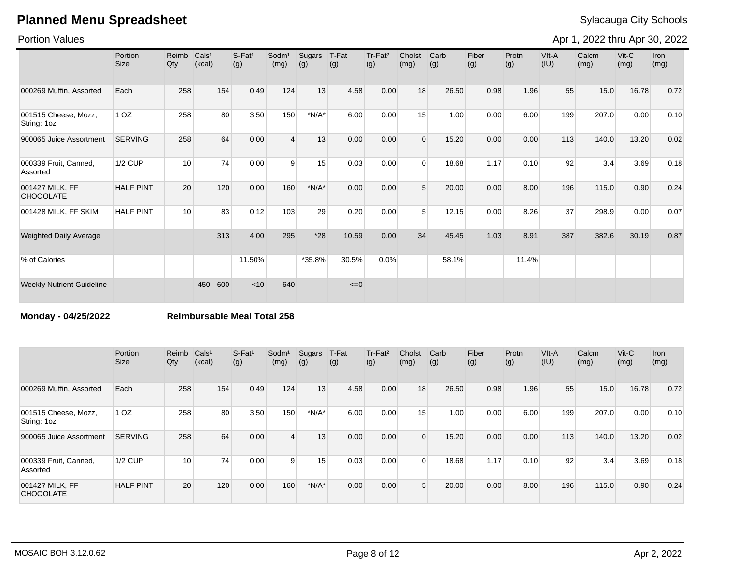## Portion Values

Apr 1, 2022 thru Apr 30, 2022

|                                     | Portion<br><b>Size</b> | Reimb<br>Qty | Cals <sup>1</sup><br>(kcal) | S-Fat <sup>1</sup><br>(g) | Sodm <sup>1</sup><br>(mg) | Sugars<br>(g) | T-Fat<br>(g) | Tr-Fat <sup>2</sup><br>(g) | Cholst<br>(mg) | Carb<br>(g) | Fiber<br>(g) | Protn<br>(g) | VIt-A<br>(IU) | Calcm<br>(mg) | $V$ it-C<br>(mg) | <b>Iron</b><br>(mg) |
|-------------------------------------|------------------------|--------------|-----------------------------|---------------------------|---------------------------|---------------|--------------|----------------------------|----------------|-------------|--------------|--------------|---------------|---------------|------------------|---------------------|
| 000269 Muffin, Assorted             | Each                   | 258          | 154                         | 0.49                      | 124                       | 13            | 4.58         | 0.00                       | 18             | 26.50       | 0.98         | 1.96         | 55            | 15.0          | 16.78            | 0.72                |
| 001515 Cheese, Mozz,<br>String: 1oz | 1 <sub>OZ</sub>        | 258          | 80                          | 3.50                      | 150                       | $*N/A*$       | 6.00         | 0.00                       | 15             | 1.00        | 0.00         | 6.00         | 199           | 207.0         | 0.00             | 0.10                |
| 900065 Juice Assortment             | <b>SERVING</b>         | 258          | 64                          | 0.00                      | $\overline{4}$            | 13            | 0.00         | 0.00                       | $\Omega$       | 15.20       | 0.00         | 0.00         | 113           | 140.0         | 13.20            | 0.02                |
| 000339 Fruit, Canned,<br>Assorted   | <b>1/2 CUP</b>         | 10           | 74                          | 0.00                      | 9                         | 15            | 0.03         | 0.00                       | $\Omega$       | 18.68       | 1.17         | 0.10         | 92            | 3.4           | 3.69             | 0.18                |
| 001427 MILK, FF<br><b>CHOCOLATE</b> | <b>HALF PINT</b>       | 20           | 120                         | 0.00                      | 160                       | $*N/A*$       | 0.00         | 0.00                       | 5              | 20.00       | 0.00         | 8.00         | 196           | 115.0         | 0.90             | 0.24                |
| 001428 MILK, FF SKIM                | <b>HALF PINT</b>       | 10           | 83                          | 0.12                      | 103                       | 29            | 0.20         | 0.00                       | 5              | 12.15       | 0.00         | 8.26         | 37            | 298.9         | 0.00             | 0.07                |
| <b>Weighted Daily Average</b>       |                        |              | 313                         | 4.00                      | 295                       | $*28$         | 10.59        | 0.00                       | 34             | 45.45       | 1.03         | 8.91         | 387           | 382.6         | 30.19            | 0.87                |
| % of Calories                       |                        |              |                             | 11.50%                    |                           | *35.8%        | 30.5%        | 0.0%                       |                | 58.1%       |              | 11.4%        |               |               |                  |                     |
| <b>Weekly Nutrient Guideline</b>    |                        |              | $450 - 600$                 | < 10                      | 640                       |               | $\leq=0$     |                            |                |             |              |              |               |               |                  |                     |

**Monday - 04/25/2022 Reimbursable Meal Total 258**

|                                     | Portion<br><b>Size</b> | Reimb<br>Qty | Cals <sup>1</sup><br>(kcal) | $S$ -Fat <sup>1</sup><br>(g) | Sodm <sup>1</sup><br>(mg) | Sugars<br>(g) | T-Fat<br>(g) | Tr-Fat <sup>2</sup><br>(g) | Cholst<br>(mg) | Carb<br>(g) | Fiber<br>(g) | Protn<br>(g) | VIt-A<br>(IU) | Calcm<br>(mg) | $V$ it-C<br>(mg) | <b>Iron</b><br>(mg) |
|-------------------------------------|------------------------|--------------|-----------------------------|------------------------------|---------------------------|---------------|--------------|----------------------------|----------------|-------------|--------------|--------------|---------------|---------------|------------------|---------------------|
| 000269 Muffin, Assorted             | Each                   | 258          | 154                         | 0.49                         | 124                       | 13            | 4.58         | 0.00                       | 18             | 26.50       | 0.98         | 1.96         | 55            | 15.0          | 16.78            | 0.72                |
| 001515 Cheese, Mozz,<br>String: 1oz | 1 <sub>OZ</sub>        | 258          | 80                          | 3.50                         | 150                       | $*N/A*$       | 6.00         | 0.00                       | 15             | 1.00        | 0.00         | 6.00         | 199           | 207.0         | 0.00             | 0.10                |
| 900065 Juice Assortment             | <b>SERVING</b>         | 258          | 64                          | 0.00                         | $\overline{4}$            | 13            | 0.00         | 0.00                       | $\Omega$       | 15.20       | 0.00         | 0.00         | 113           | 140.0         | 13.20            | 0.02                |
| 000339 Fruit, Canned,<br>Assorted   | 1/2 CUP                | 10           | 74                          | 0.00                         | 9                         | 15            | 0.03         | 0.00                       | $\Omega$       | 18.68       | 1.17         | 0.10         | 92            | 3.4           | 3.69             | 0.18                |
| 001427 MILK, FF<br><b>CHOCOLATE</b> | <b>HALF PINT</b>       | 20           | 120                         | 0.00                         | 160                       | $*N/A*$       | 0.00         | 0.00                       | 5 <sup>1</sup> | 20.00       | 0.00         | 8.00         | 196           | 115.0         | 0.90             | 0.24                |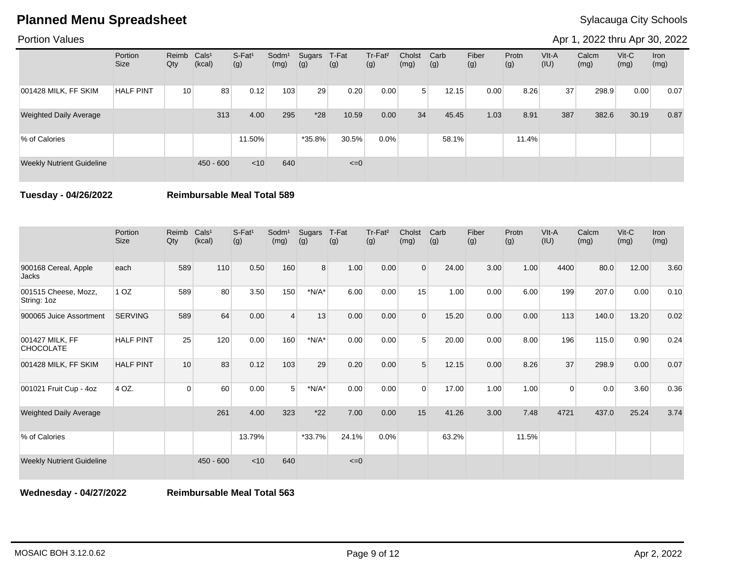### Portion Values

Apr 1, 2022 thru Apr 30, 2022

|                                  | Portion<br><b>Size</b> | Reimb Cals <sup>1</sup><br>Qty | (kcal)      | $S-Fat1$<br>(g) | Sodm <sup>1</sup><br>(mg) | Sugars<br>(g) | T-Fat<br>(g) | Tr-Fat <sup>2</sup><br>(g) | Cholst<br>(mg) | Carb<br>(g) | Fiber<br>(g) | Protn<br>(g) | VIt-A<br>(IU) | Calcm<br>(mg) | $V$ it-C<br>(mg) | Iron<br>(mg) |
|----------------------------------|------------------------|--------------------------------|-------------|-----------------|---------------------------|---------------|--------------|----------------------------|----------------|-------------|--------------|--------------|---------------|---------------|------------------|--------------|
| 001428 MILK, FF SKIM             | <b>HALF PINT</b>       | 10                             | 83          | 0.12            | 103                       | 29            | 0.20         | 0.00                       | 5 <sup>1</sup> | 12.15       | 0.00         | 8.26         | 37            | 298.9         | 0.00             | 0.07         |
| <b>Weighted Daily Average</b>    |                        |                                | 313         | 4.00            | 295                       | $*28$         | 10.59        | 0.00                       | 34             | 45.45       | 1.03         | 8.91         | 387           | 382.6         | 30.19            | 0.87         |
| % of Calories                    |                        |                                |             | 11.50%          |                           | $*35.8\%$     | 30.5%        | 0.0%                       |                | 58.1%       |              | 11.4%        |               |               |                  |              |
| <b>Weekly Nutrient Guideline</b> |                        |                                | $450 - 600$ | $<$ 10          | 640                       |               | $\leq=0$     |                            |                |             |              |              |               |               |                  |              |

**Tuesday - 04/26/2022 Reimbursable Meal Total 589**

|                                     | Portion<br><b>Size</b> | Reimb<br>Qty | Cals <sup>1</sup><br>(kcal) | $S-Fat1$<br>(g) | Sodm <sup>1</sup><br>(mg) | Sugars<br>(g)  | T-Fat<br>(g) | Tr-Fat <sup>2</sup><br>(g) | Cholst<br>(mg) | Carb<br>(g) | Fiber<br>(g) | Protn<br>(g) | VIt-A<br>(IU)  | Calcm<br>(mg) | $V$ it-C<br>(mg) | <b>Iron</b><br>(mg) |
|-------------------------------------|------------------------|--------------|-----------------------------|-----------------|---------------------------|----------------|--------------|----------------------------|----------------|-------------|--------------|--------------|----------------|---------------|------------------|---------------------|
| 900168 Cereal, Apple<br>Jacks       | each                   | 589          | 110                         | 0.50            | 160                       | 8 <sup>1</sup> | 1.00         | 0.00                       | $\mathbf{0}$   | 24.00       | 3.00         | 1.00         | 4400           | 80.0          | 12.00            | 3.60                |
| 001515 Cheese, Mozz,<br>String: 1oz | 1 <sub>OZ</sub>        | 589          | 80                          | 3.50            | 150                       | $*N/A*$        | 6.00         | 0.00                       | 15             | 1.00        | 0.00         | 6.00         | 199            | 207.0         | 0.00             | 0.10                |
| 900065 Juice Assortment             | <b>SERVING</b>         | 589          | 64                          | 0.00            | $\overline{4}$            | 13             | 0.00         | 0.00                       | $\Omega$       | 15.20       | 0.00         | 0.00         | 113            | 140.0         | 13.20            | 0.02                |
| 001427 MILK, FF<br><b>CHOCOLATE</b> | <b>HALF PINT</b>       | 25           | 120                         | 0.00            | 160                       | $*N/A*$        | 0.00         | 0.00                       | 5 <sub>1</sub> | 20.00       | 0.00         | 8.00         | 196            | 115.0         | 0.90             | 0.24                |
| 001428 MILK, FF SKIM                | <b>HALF PINT</b>       | 10           | 83                          | 0.12            | 103                       | 29             | 0.20         | 0.00                       | 5              | 12.15       | 0.00         | 8.26         | 37             | 298.9         | 0.00             | 0.07                |
| 001021 Fruit Cup - 4oz              | 4 OZ.                  | $\Omega$     | 60                          | 0.00            | 5                         | $*N/A*$        | 0.00         | 0.00                       | $\Omega$       | 17.00       | 1.00         | 1.00         | $\overline{0}$ | 0.0           | 3.60             | 0.36                |
| <b>Weighted Daily Average</b>       |                        |              | 261                         | 4.00            | 323                       | $*22$          | 7.00         | 0.00                       | 15             | 41.26       | 3.00         | 7.48         | 4721           | 437.0         | 25.24            | 3.74                |
| % of Calories                       |                        |              |                             | 13.79%          |                           | $*33.7%$       | 24.1%        | 0.0%                       |                | 63.2%       |              | 11.5%        |                |               |                  |                     |
| <b>Weekly Nutrient Guideline</b>    |                        |              | $450 - 600$                 | < 10            | 640                       |                | $\leq=0$     |                            |                |             |              |              |                |               |                  |                     |

**Wednesday - 04/27/2022 Reimbursable Meal Total 563**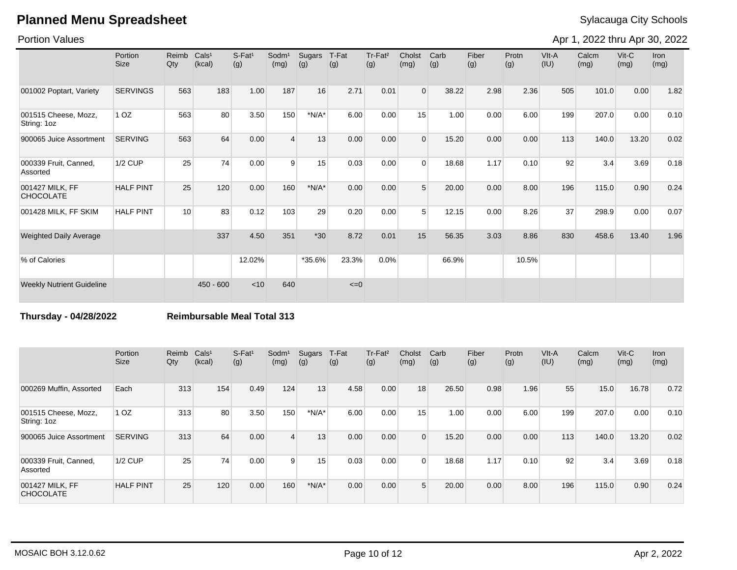## Portion Values

Apr 1, 2022 thru Apr 30, 2022

|                                     | Portion<br><b>Size</b> | Reimb<br>$Q$ ty | Cals <sup>1</sup><br>(kcal) | $S$ -Fat <sup>1</sup><br>(g) | Sodm <sup>1</sup><br>(mg) | Sugars<br>(g) | T-Fat<br>(g) | Tr-Fat <sup>2</sup><br>(g) | Cholst<br>(mg) | Carb<br>(g) | Fiber<br>(g) | Protn<br>(g) | VIt-A<br>(IU) | Calcm<br>(mg) | $V$ it-C<br>(mg) | <b>Iron</b><br>(mg) |
|-------------------------------------|------------------------|-----------------|-----------------------------|------------------------------|---------------------------|---------------|--------------|----------------------------|----------------|-------------|--------------|--------------|---------------|---------------|------------------|---------------------|
| 001002 Poptart, Variety             | <b>SERVINGS</b>        | 563             | 183                         | 1.00                         | 187                       | 16            | 2.71         | 0.01                       | $\Omega$       | 38.22       | 2.98         | 2.36         | 505           | 101.0         | 0.00             | 1.82                |
| 001515 Cheese, Mozz,<br>String: 1oz | 1 <sub>OZ</sub>        | 563             | 80                          | 3.50                         | 150                       | $*N/A*$       | 6.00         | 0.00                       | 15             | 1.00        | 0.00         | 6.00         | 199           | 207.0         | 0.00             | 0.10                |
| 900065 Juice Assortment             | <b>SERVING</b>         | 563             | 64                          | 0.00                         | $\overline{4}$            | 13            | 0.00         | 0.00                       | $\Omega$       | 15.20       | 0.00         | 0.00         | 113           | 140.0         | 13.20            | 0.02                |
| 000339 Fruit, Canned,<br>Assorted   | <b>1/2 CUP</b>         | 25              | 74                          | 0.00                         | 9                         | 15            | 0.03         | 0.00                       | $\Omega$       | 18.68       | 1.17         | 0.10         | 92            | 3.4           | 3.69             | 0.18                |
| 001427 MILK, FF<br><b>CHOCOLATE</b> | <b>HALF PINT</b>       | 25              | 120                         | 0.00                         | 160                       | $*N/A*$       | 0.00         | 0.00                       | 5              | 20.00       | 0.00         | 8.00         | 196           | 115.0         | 0.90             | 0.24                |
| 001428 MILK, FF SKIM                | <b>HALF PINT</b>       | 10              | 83                          | 0.12                         | 103                       | 29            | 0.20         | 0.00                       | $5^{\circ}$    | 12.15       | 0.00         | 8.26         | 37            | 298.9         | 0.00             | 0.07                |
| <b>Weighted Daily Average</b>       |                        |                 | 337                         | 4.50                         | 351                       | $*30$         | 8.72         | 0.01                       | 15             | 56.35       | 3.03         | 8.86         | 830           | 458.6         | 13.40            | 1.96                |
| % of Calories                       |                        |                 |                             | 12.02%                       |                           | *35.6%        | 23.3%        | 0.0%                       |                | 66.9%       |              | 10.5%        |               |               |                  |                     |
| <b>Weekly Nutrient Guideline</b>    |                        |                 | $450 - 600$                 | < 10                         | 640                       |               | $\leq=0$     |                            |                |             |              |              |               |               |                  |                     |

**Thursday - 04/28/2022 Reimbursable Meal Total 313**

|                                     | Portion<br>Size  | Reimb<br>Qty | CalS <sup>1</sup><br>(kcal) | $S$ -Fat <sup>1</sup><br>(g) | Sodm <sup>1</sup><br>(mg) | Sugars<br>(g) | T-Fat<br>(g) | Tr-Fat <sup>2</sup><br>(g) | Cholst<br>(mg) | Carb<br>(g) | Fiber<br>(g) | Protn<br>(g) | VIt-A<br>(IU) | Calcm<br>(mg) | $V$ it-C<br>(mg) | <b>Iron</b><br>(mg) |
|-------------------------------------|------------------|--------------|-----------------------------|------------------------------|---------------------------|---------------|--------------|----------------------------|----------------|-------------|--------------|--------------|---------------|---------------|------------------|---------------------|
| 000269 Muffin, Assorted             | Each             | 313          | 154                         | 0.49                         | 124                       | 13            | 4.58         | 0.00                       | 18             | 26.50       | 0.98         | 1.96         | 55            | 15.0          | 16.78            | 0.72                |
| 001515 Cheese, Mozz,<br>String: 1oz | 1 <sub>OZ</sub>  | 313          | 80                          | 3.50                         | 150                       | $*N/A*$       | 6.00         | 0.00                       | 15             | 1.00        | 0.00         | 6.00         | 199           | 207.0         | 0.00             | 0.10                |
| 900065 Juice Assortment             | <b>SERVING</b>   | 313          | 64                          | 0.00                         | $\overline{4}$            | 13            | 0.00         | 0.00                       | $\Omega$       | 15.20       | 0.00         | 0.00         | 113           | 140.0         | 13.20            | 0.02                |
| 000339 Fruit, Canned,<br>Assorted   | $1/2$ CUP        | 25           | 74                          | 0.00                         | 9                         | 15            | 0.03         | 0.00                       | $\Omega$       | 18.68       | 1.17         | 0.10         | 92            | 3.4           | 3.69             | 0.18                |
| 001427 MILK, FF<br><b>CHOCOLATE</b> | <b>HALF PINT</b> | 25           | 120                         | 0.00                         | 160                       | $*N/A*$       | 0.00         | 0.00                       | $5^{\circ}$    | 20.00       | 0.00         | 8.00         | 196           | 115.0         | 0.90             | 0.24                |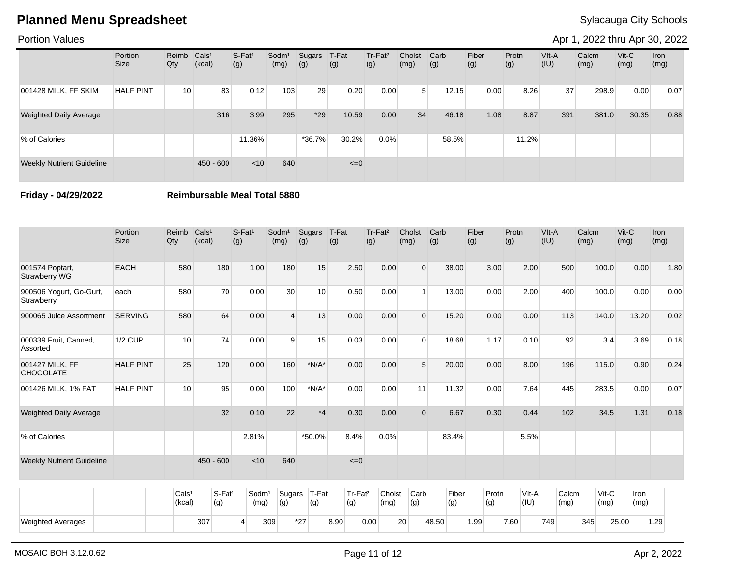## Portion Values

Apr 1, 2022 thru Apr 30, 2022

|                                  | Portion<br><b>Size</b> | Reimb Cals <sup>1</sup><br>Qty | (kcal)      | $S-Fat1$<br>(g) | Sodm <sup>1</sup><br>(mg) | Sugars<br>(g) | T-Fat<br>(g) | Tr-Fat <sup>2</sup><br>(g) | Cholst<br>(mg) | Carb<br>(g) | Fiber<br>(g) | Protn<br>(g) | VIt-A<br>(IU) | Calcm<br>(mg) | $V$ it-C<br>(mg) | Iron<br>(mg) |
|----------------------------------|------------------------|--------------------------------|-------------|-----------------|---------------------------|---------------|--------------|----------------------------|----------------|-------------|--------------|--------------|---------------|---------------|------------------|--------------|
| 001428 MILK, FF SKIM             | <b>HALF PINT</b>       | 10 <sup>1</sup>                | 83          | 0.12            | 103                       | 29            | 0.20         | 0.00                       | 5              | 12.15       | 0.00         | 8.26         | 37            | 298.9         | 0.00             | 0.07         |
| <b>Weighted Daily Average</b>    |                        |                                | 316         | 3.99            | 295                       | $*29$         | 10.59        | 0.00                       | 34             | 46.18       | 1.08         | 8.87         | 391           | 381.0         | 30.35            | 0.88         |
| % of Calories                    |                        |                                |             | 11.36%          |                           | $*36.7\%$     | 30.2%        | 0.0%                       |                | 58.5%       |              | 11.2%        |               |               |                  |              |
| <b>Weekly Nutrient Guideline</b> |                        |                                | $450 - 600$ | < 10            | 640                       |               | $\leq=0$     |                            |                |             |              |              |               |               |                  |              |

**Friday - 04/29/2022 Reimbursable Meal Total 5880**

|                                       | Portion<br><b>Size</b> | Reimb<br>Qty | Cals <sup>1</sup><br>(kcal) | S-Fat <sup>1</sup><br>(g) | Sodm <sup>1</sup><br>(mg) | Sugars<br>(g) | T-Fat<br>(g) | Tr-Fat <sup>2</sup><br>(g) | Cholst<br>(mg) | Carb<br>(g) | Fiber<br>(g) | Protn<br>(g) | VIt-A<br>(IU) | Calcm<br>(mg) | $V$ it-C<br>(mg) | Iron<br>(mg) |
|---------------------------------------|------------------------|--------------|-----------------------------|---------------------------|---------------------------|---------------|--------------|----------------------------|----------------|-------------|--------------|--------------|---------------|---------------|------------------|--------------|
| 001574 Poptart,<br>Strawberry WG      | <b>EACH</b>            | 580          | 180                         | 1.00                      | 180                       | 15            | 2.50         | 0.00                       | $\mathbf{0}$   | 38.00       | 3.00         | 2.00         | 500           | 100.0         | 0.00             | 1.80         |
| 900506 Yogurt, Go-Gurt,<br>Strawberry | each                   | 580          | 70                          | 0.00                      | 30                        | 10            | 0.50         | 0.00                       |                | 13.00       | 0.00         | 2.00         | 400           | 100.0         | 0.00             | 0.00         |
| 900065 Juice Assortment               | <b>SERVING</b>         | 580          | 64                          | 0.00                      | $\overline{\mathcal{L}}$  | 13            | 0.00         | 0.00                       | $\Omega$       | 15.20       | 0.00         | 0.00         | 113           | 140.0         | 13.20            | 0.02         |
| 000339 Fruit, Canned,<br>Assorted     | $1/2$ CUP              | 10           | 74                          | 0.00                      | 9                         | 15            | 0.03         | 0.00                       | $\Omega$       | 18.68       | 1.17         | 0.10         | 92            | 3.4           | 3.69             | 0.18         |
| 001427 MILK, FF<br><b>CHOCOLATE</b>   | <b>HALF PINT</b>       | 25           | 120                         | 0.00                      | 160                       | $*N/A*$       | 0.00         | 0.00                       | 5              | 20.00       | 0.00         | 8.00         | 196           | 115.0         | 0.90             | 0.24         |
| 001426 MILK, 1% FAT                   | <b>HALF PINT</b>       | 10           | 95                          | 0.00                      | 100                       | $*N/A*$       | 0.00         | 0.00                       | 11             | 11.32       | 0.00         | 7.64         | 445           | 283.5         | 0.00             | 0.07         |
| <b>Weighted Daily Average</b>         |                        |              | 32                          | 0.10                      | 22                        | $*_{4}$       | 0.30         | 0.00                       | $\mathbf{0}$   | 6.67        | 0.30         | 0.44         | 102           | 34.5          | 1.31             | 0.18         |
| % of Calories                         |                        |              |                             | 2.81%                     |                           | *50.0%        | 8.4%         | 0.0%                       |                | 83.4%       |              | 5.5%         |               |               |                  |              |
| <b>Weekly Nutrient Guideline</b>      |                        |              | $450 - 600$                 | < 10                      | 640                       |               | $\leq=0$     |                            |                |             |              |              |               |               |                  |              |

|                          |  | Cals <sup>1</sup><br>(kcal) | $S$ -Fat <sup>1</sup><br>$\mathcal{L}(\mathcal{G})$ | Sodm <sup>1</sup><br>(mg) | Sugars<br>(g) | `⊤-Fat<br>(a) | Tr-Fat <sup>2</sup><br>(g) | Cholst<br>(mg, | Carb<br>(g) | Fiber<br>(g) | Protn<br>(g) | VIt-A<br>(IU) | Calcm<br>(mg) | Vit-C<br>(mg) | <b>Iron</b><br>(mg) |
|--------------------------|--|-----------------------------|-----------------------------------------------------|---------------------------|---------------|---------------|----------------------------|----------------|-------------|--------------|--------------|---------------|---------------|---------------|---------------------|
| <b>Weighted Averages</b> |  | 307                         |                                                     | 309                       | $*27$         | 8.90          | 0.00                       | 20             | 48.50       | 99. ا        | 7.60         | 749           | 345           | 25.00         | .29                 |